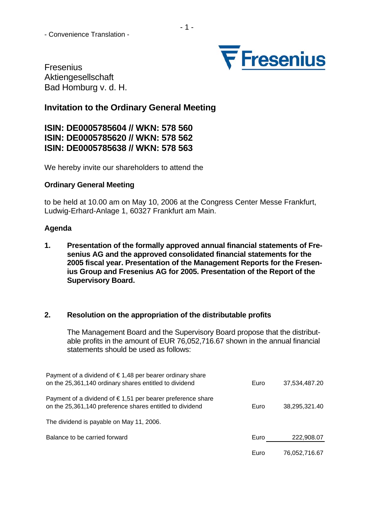

Fresenius Aktiengesellschaft Bad Homburg v. d. H.

# **Invitation to the Ordinary General Meeting**

**ISIN: DE0005785604 // WKN: 578 560 ISIN: DE0005785620 // WKN: 578 562 ISIN: DE0005785638 // WKN: 578 563** 

We hereby invite our shareholders to attend the

### **Ordinary General Meeting**

to be held at 10.00 am on May 10, 2006 at the Congress Center Messe Frankfurt, Ludwig-Erhard-Anlage 1, 60327 Frankfurt am Main.

### **Agenda**

**1. Presentation of the formally approved annual financial statements of Fresenius AG and the approved consolidated financial statements for the 2005 fiscal year. Presentation of the Management Reports for the Fresenius Group and Fresenius AG for 2005. Presentation of the Report of the Supervisory Board.** 

### **2. Resolution on the appropriation of the distributable profits**

The Management Board and the Supervisory Board propose that the distributable profits in the amount of EUR 76,052,716.67 shown in the annual financial statements should be used as follows:

| Payment of a dividend of $\epsilon$ 1,48 per bearer ordinary share<br>on the 25,361,140 ordinary shares entitled to dividend     | Euro | 37,534,487.20 |
|----------------------------------------------------------------------------------------------------------------------------------|------|---------------|
| Payment of a dividend of $\epsilon$ 1,51 per bearer preference share<br>on the 25,361,140 preference shares entitled to dividend | Euro | 38,295,321.40 |
| The dividend is payable on May 11, 2006.                                                                                         |      |               |
| Balance to be carried forward                                                                                                    | Euro | 222,908.07    |
|                                                                                                                                  | Euro | 76,052,716.67 |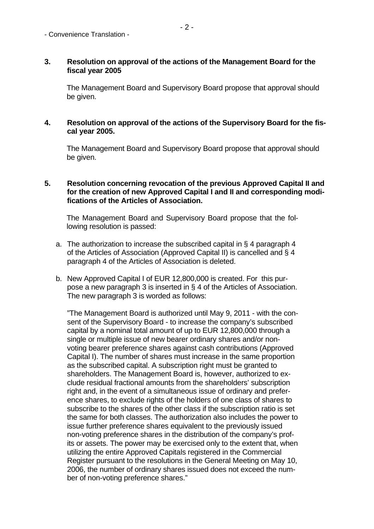## **3. Resolution on approval of the actions of the Management Board for the fiscal year 2005**

The Management Board and Supervisory Board propose that approval should be given.

## **4. Resolution on approval of the actions of the Supervisory Board for the fiscal year 2005.**

The Management Board and Supervisory Board propose that approval should be given.

## **5. Resolution concerning revocation of the previous Approved Capital II and**  for the creation of new Approved Capital I and II and corresponding modi**fications of the Articles of Association.**

The Management Board and Supervisory Board propose that the following resolution is passed:

- a. The authorization to increase the subscribed capital in § 4 paragraph 4 of the Articles of Association (Approved Capital II) is cancelled and § 4 paragraph 4 of the Articles of Association is deleted.
- b. New Approved Capital I of EUR 12,800,000 is created. For this purpose a new paragraph 3 is inserted in § 4 of the Articles of Association. The new paragraph 3 is worded as follows:

"The Management Board is authorized until May 9, 2011 - with the consent of the Supervisory Board - to increase the company's subscribed capital by a nominal total amount of up to EUR 12,800,000 through a single or multiple issue of new bearer ordinary shares and/or nonvoting bearer preference shares against cash contributions (Approved Capital I). The number of shares must increase in the same proportion as the subscribed capital. A subscription right must be granted to shareholders. The Management Board is, however, authorized to exclude residual fractional amounts from the shareholders' subscription right and, in the event of a simultaneous issue of ordinary and preference shares, to exclude rights of the holders of one class of shares to subscribe to the shares of the other class if the subscription ratio is set the same for both classes. The authorization also includes the power to issue further preference shares equivalent to the previously issued non-voting preference shares in the distribution of the company's profits or assets. The power may be exercised only to the extent that, when utilizing the entire Approved Capitals registered in the Commercial Register pursuant to the resolutions in the General Meeting on May 10, 2006, the number of ordinary shares issued does not exceed the number of non-voting preference shares."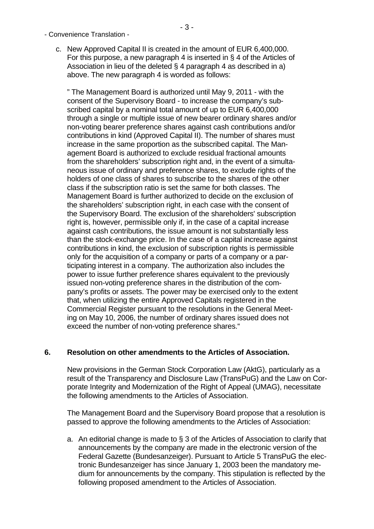c. New Approved Capital II is created in the amount of EUR 6,400,000. For this purpose, a new paragraph 4 is inserted in § 4 of the Articles of Association in lieu of the deleted § 4 paragraph 4 as described in a) above. The new paragraph 4 is worded as follows:

" The Management Board is authorized until May 9, 2011 - with the consent of the Supervisory Board - to increase the company's subscribed capital by a nominal total amount of up to EUR 6,400,000 through a single or multiple issue of new bearer ordinary shares and/or non-voting bearer preference shares against cash contributions and/or contributions in kind (Approved Capital II). The number of shares must increase in the same proportion as the subscribed capital. The Management Board is authorized to exclude residual fractional amounts from the shareholders' subscription right and, in the event of a simultaneous issue of ordinary and preference shares, to exclude rights of the holders of one class of shares to subscribe to the shares of the other class if the subscription ratio is set the same for both classes. The Management Board is further authorized to decide on the exclusion of the shareholders' subscription right, in each case with the consent of the Supervisory Board. The exclusion of the shareholders' subscription right is, however, permissible only if, in the case of a capital increase against cash contributions, the issue amount is not substantially less than the stock-exchange price. In the case of a capital increase against contributions in kind, the exclusion of subscription rights is permissible only for the acquisition of a company or parts of a company or a participating interest in a company. The authorization also includes the power to issue further preference shares equivalent to the previously issued non-voting preference shares in the distribution of the company's profits or assets. The power may be exercised only to the extent that, when utilizing the entire Approved Capitals registered in the Commercial Register pursuant to the resolutions in the General Meeting on May 10, 2006, the number of ordinary shares issued does not exceed the number of non-voting preference shares."

# **6. Resolution on other amendments to the Articles of Association.**

New provisions in the German Stock Corporation Law (AktG), particularly as a result of the Transparency and Disclosure Law (TransPuG) and the Law on Corporate Integrity and Modernization of the Right of Appeal (UMAG), necessitate the following amendments to the Articles of Association.

The Management Board and the Supervisory Board propose that a resolution is passed to approve the following amendments to the Articles of Association:

a. An editorial change is made to § 3 of the Articles of Association to clarify that announcements by the company are made in the electronic version of the Federal Gazette (Bundesanzeiger). Pursuant to Article 5 TransPuG the electronic Bundesanzeiger has since January 1, 2003 been the mandatory medium for announcements by the company. This stipulation is reflected by the following proposed amendment to the Articles of Association.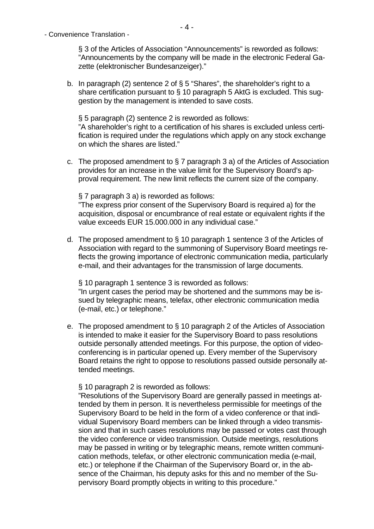§ 3 of the Articles of Association "Announcements" is reworded as follows: "Announcements by the company will be made in the electronic Federal Gazette (elektronischer Bundesanzeiger)."

b. In paragraph (2) sentence 2 of  $\S 5$  "Shares", the shareholder's right to a share certification pursuant to § 10 paragraph 5 AktG is excluded. This suggestion by the management is intended to save costs.

§ 5 paragraph (2) sentence 2 is reworded as follows: "A shareholder's right to a certification of his shares is excluded unless certification is required under the regulations which apply on any stock exchange on which the shares are listed."

c. The proposed amendment to § 7 paragraph 3 a) of the Articles of Association provides for an increase in the value limit for the Supervisory Board's approval requirement. The new limit reflects the current size of the company.

§ 7 paragraph 3 a) is reworded as follows: "The express prior consent of the Supervisory Board is required a) for the acquisition, disposal or encumbrance of real estate or equivalent rights if the value exceeds EUR 15.000.000 in any individual case."

d. The proposed amendment to § 10 paragraph 1 sentence 3 of the Articles of Association with regard to the summoning of Supervisory Board meetings reflects the growing importance of electronic communication media, particularly e-mail, and their advantages for the transmission of large documents.

§ 10 paragraph 1 sentence 3 is reworded as follows: "In urgent cases the period may be shortened and the summons may be issued by telegraphic means, telefax, other electronic communication media (e-mail, etc.) or telephone."

e. The proposed amendment to § 10 paragraph 2 of the Articles of Association is intended to make it easier for the Supervisory Board to pass resolutions outside personally attended meetings. For this purpose, the option of videoconferencing is in particular opened up. Every member of the Supervisory Board retains the right to oppose to resolutions passed outside personally attended meetings.

§ 10 paragraph 2 is reworded as follows:

"Resolutions of the Supervisory Board are generally passed in meetings attended by them in person. It is nevertheless permissible for meetings of the Supervisory Board to be held in the form of a video conference or that individual Supervisory Board members can be linked through a video transmission and that in such cases resolutions may be passed or votes cast through the video conference or video transmission. Outside meetings, resolutions may be passed in writing or by telegraphic means, remote written communication methods, telefax, or other electronic communication media (e-mail, etc.) or telephone if the Chairman of the Supervisory Board or, in the absence of the Chairman, his deputy asks for this and no member of the Supervisory Board promptly objects in writing to this procedure."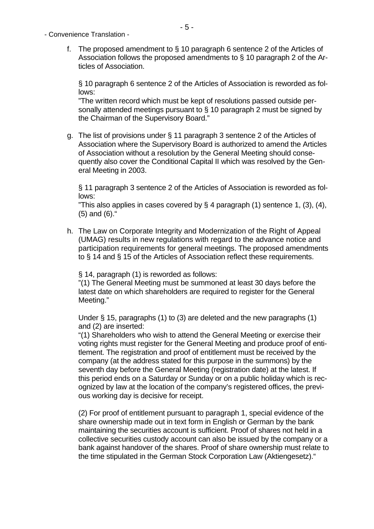- Convenience Translation
	- f. The proposed amendment to § 10 paragraph 6 sentence 2 of the Articles of Association follows the proposed amendments to § 10 paragraph 2 of the Articles of Association.

§ 10 paragraph 6 sentence 2 of the Articles of Association is reworded as follows:

"The written record which must be kept of resolutions passed outside personally attended meetings pursuant to § 10 paragraph 2 must be signed by the Chairman of the Supervisory Board."

g. The list of provisions under § 11 paragraph 3 sentence 2 of the Articles of Association where the Supervisory Board is authorized to amend the Articles of Association without a resolution by the General Meeting should consequently also cover the Conditional Capital II which was resolved by the General Meeting in 2003.

§ 11 paragraph 3 sentence 2 of the Articles of Association is reworded as follows:

"This also applies in cases covered by  $\S 4$  paragraph (1) sentence 1, (3), (4), (5) and (6)."

h. The Law on Corporate Integrity and Modernization of the Right of Appeal (UMAG) results in new regulations with regard to the advance notice and participation requirements for general meetings. The proposed amendments to § 14 and § 15 of the Articles of Association reflect these requirements.

§ 14, paragraph (1) is reworded as follows:

"(1) The General Meeting must be summoned at least 30 days before the latest date on which shareholders are required to register for the General Meeting."

Under § 15, paragraphs (1) to (3) are deleted and the new paragraphs (1) and (2) are inserted:

"(1) Shareholders who wish to attend the General Meeting or exercise their voting rights must register for the General Meeting and produce proof of entitlement. The registration and proof of entitlement must be received by the company (at the address stated for this purpose in the summons) by the seventh day before the General Meeting (registration date) at the latest. If this period ends on a Saturday or Sunday or on a public holiday which is recognized by law at the location of the company's registered offices, the previous working day is decisive for receipt.

(2) For proof of entitlement pursuant to paragraph 1, special evidence of the share ownership made out in text form in English or German by the bank maintaining the securities account is sufficient. Proof of shares not held in a collective securities custody account can also be issued by the company or a bank against handover of the shares. Proof of share ownership must relate to the time stipulated in the German Stock Corporation Law (Aktiengesetz)."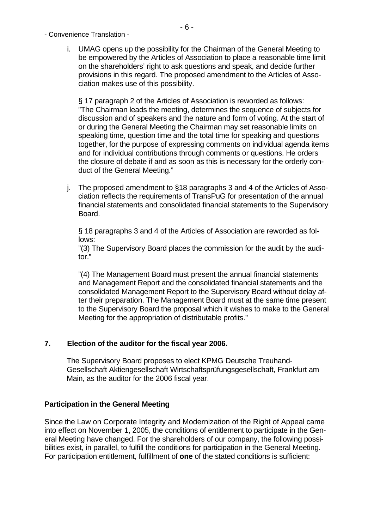- Convenience Translation
	- i. UMAG opens up the possibility for the Chairman of the General Meeting to be empowered by the Articles of Association to place a reasonable time limit on the shareholders' right to ask questions and speak, and decide further provisions in this regard. The proposed amendment to the Articles of Association makes use of this possibility.

§ 17 paragraph 2 of the Articles of Association is reworded as follows: "The Chairman leads the meeting, determines the sequence of subjects for discussion and of speakers and the nature and form of voting. At the start of or during the General Meeting the Chairman may set reasonable limits on speaking time, question time and the total time for speaking and questions together, for the purpose of expressing comments on individual agenda items and for individual contributions through comments or questions. He orders the closure of debate if and as soon as this is necessary for the orderly conduct of the General Meeting."

j. The proposed amendment to §18 paragraphs 3 and 4 of the Articles of Association reflects the requirements of TransPuG for presentation of the annual financial statements and consolidated financial statements to the Supervisory Board.

§ 18 paragraphs 3 and 4 of the Articles of Association are reworded as follows:

"(3) The Supervisory Board places the commission for the audit by the auditor."

"(4) The Management Board must present the annual financial statements and Management Report and the consolidated financial statements and the consolidated Management Report to the Supervisory Board without delay after their preparation. The Management Board must at the same time present to the Supervisory Board the proposal which it wishes to make to the General Meeting for the appropriation of distributable profits."

# **7. Election of the auditor for the fiscal year 2006.**

The Supervisory Board proposes to elect KPMG Deutsche Treuhand-Gesellschaft Aktiengesellschaft Wirtschaftsprüfungsgesellschaft, Frankfurt am Main, as the auditor for the 2006 fiscal year.

# **Participation in the General Meeting**

Since the Law on Corporate Integrity and Modernization of the Right of Appeal came into effect on November 1, 2005, the conditions of entitlement to participate in the General Meeting have changed. For the shareholders of our company, the following possibilities exist, in parallel, to fulfill the conditions for participation in the General Meeting. For participation entitlement, fulfillment of **one** of the stated conditions is sufficient: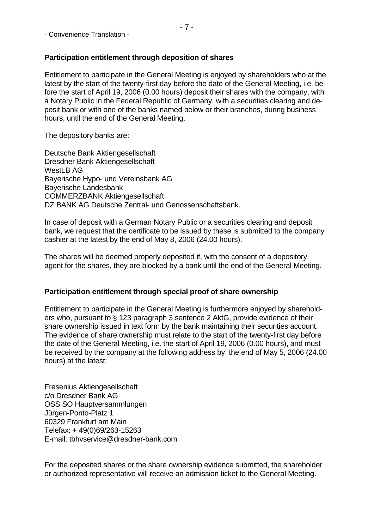# **Participation entitlement through deposition of shares**

Entitlement to participate in the General Meeting is enjoyed by shareholders who at the latest by the start of the twenty-first day before the date of the General Meeting, i.e. before the start of April 19, 2006 (0.00 hours) deposit their shares with the company, with a Notary Public in the Federal Republic of Germany, with a securities clearing and deposit bank or with one of the banks named below or their branches, during business hours, until the end of the General Meeting.

The depository banks are:

Deutsche Bank Aktiengesellschaft Dresdner Bank Aktiengesellschaft WestLB AG Bayerische Hypo- und Vereinsbank AG Bayerische Landesbank COMMERZBANK Aktiengesellschaft DZ BANK AG Deutsche Zentral- und Genossenschaftsbank.

In case of deposit with a German Notary Public or a securities clearing and deposit bank, we request that the certificate to be issued by these is submitted to the company cashier at the latest by the end of May 8, 2006 (24.00 hours).

The shares will be deemed properly deposited if, with the consent of a depository agent for the shares, they are blocked by a bank until the end of the General Meeting.

### **Participation entitlement through special proof of share ownership**

Entitlement to participate in the General Meeting is furthermore enjoyed by shareholders who, pursuant to § 123 paragraph 3 sentence 2 AktG, provide evidence of their share ownership issued in text form by the bank maintaining their securities account. The evidence of share ownership must relate to the start of the twenty-first day before the date of the General Meeting, i.e. the start of April 19, 2006 (0.00 hours), and must be received by the company at the following address by the end of May 5, 2006 (24.00 hours) at the latest:

Fresenius Aktiengesellschaft c/o Dresdner Bank AG OSS SO Hauptversammlungen Jürgen-Ponto-Platz 1 60329 Frankfurt am Main Telefax: + 49(0)69/263-15263 E-mail: tbhvservice@dresdner-bank.com

For the deposited shares or the share ownership evidence submitted, the shareholder or authorized representative will receive an admission ticket to the General Meeting.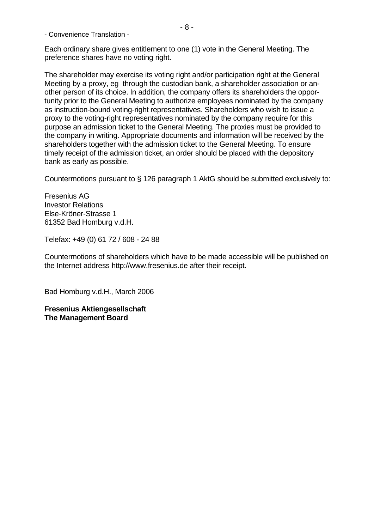Each ordinary share gives entitlement to one (1) vote in the General Meeting. The preference shares have no voting right.

The shareholder may exercise its voting right and/or participation right at the General Meeting by a proxy, eg through the custodian bank, a shareholder association or another person of its choice. In addition, the company offers its shareholders the opportunity prior to the General Meeting to authorize employees nominated by the company as instruction-bound voting-right representatives. Shareholders who wish to issue a proxy to the voting-right representatives nominated by the company require for this purpose an admission ticket to the General Meeting. The proxies must be provided to the company in writing. Appropriate documents and information will be received by the shareholders together with the admission ticket to the General Meeting. To ensure timely receipt of the admission ticket, an order should be placed with the depository bank as early as possible.

Countermotions pursuant to § 126 paragraph 1 AktG should be submitted exclusively to:

Fresenius AG Investor Relations Else-Kröner-Strasse 1 61352 Bad Homburg v.d.H.

Telefax: +49 (0) 61 72 / 608 - 24 88

Countermotions of shareholders which have to be made accessible will be published on the Internet address [http://www.fresenius.de](http://www.fresenius.de/) after their receipt.

Bad Homburg v.d.H., March 2006

**Fresenius Aktiengesellschaft The Management Board**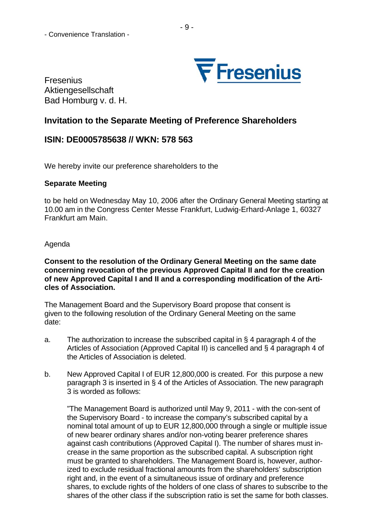

Fresenius Aktiengesellschaft Bad Homburg v. d. H.

# **Invitation to the Separate Meeting of Preference Shareholders**

# **ISIN: DE0005785638 // WKN: 578 563**

We hereby invite our preference shareholders to the

# **Separate Meeting**

to be held on Wednesday May 10, 2006 after the Ordinary General Meeting starting at 10.00 am in the Congress Center Messe Frankfurt, Ludwig-Erhard-Anlage 1, 60327 Frankfurt am Main.

Agenda

## **Consent to the resolution of the Ordinary General Meeting on the same date concerning revocation of the previous Approved Capital II and for the creation of new Approved Capital I and II and a corresponding modification of the Articles of Association.**

The Management Board and the Supervisory Board propose that consent is given to the following resolution of the Ordinary General Meeting on the same date:

- a. The authorization to increase the subscribed capital in § 4 paragraph 4 of the Articles of Association (Approved Capital II) is cancelled and § 4 paragraph 4 of the Articles of Association is deleted.
- b. New Approved Capital I of EUR 12,800,000 is created. For this purpose a new paragraph 3 is inserted in § 4 of the Articles of Association. The new paragraph 3 is worded as follows:

"The Management Board is authorized until May 9, 2011 - with the con-sent of the Supervisory Board - to increase the company's subscribed capital by a nominal total amount of up to EUR 12,800,000 through a single or multiple issue of new bearer ordinary shares and/or non-voting bearer preference shares against cash contributions (Approved Capital I). The number of shares must increase in the same proportion as the subscribed capital. A subscription right must be granted to shareholders. The Management Board is, however, authorized to exclude residual fractional amounts from the shareholders' subscription right and, in the event of a simultaneous issue of ordinary and preference shares, to exclude rights of the holders of one class of shares to subscribe to the shares of the other class if the subscription ratio is set the same for both classes.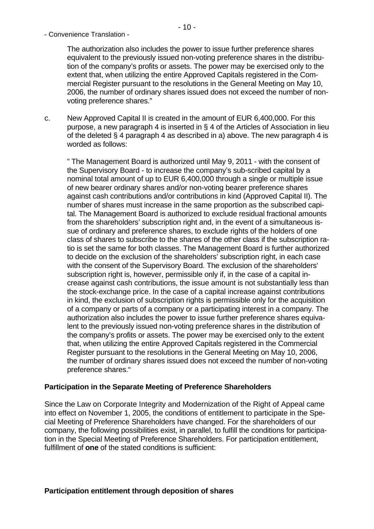The authorization also includes the power to issue further preference shares equivalent to the previously issued non-voting preference shares in the distribution of the company's profits or assets. The power may be exercised only to the extent that, when utilizing the entire Approved Capitals registered in the Commercial Register pursuant to the resolutions in the General Meeting on May 10, 2006, the number of ordinary shares issued does not exceed the number of nonvoting preference shares."

c. New Approved Capital II is created in the amount of EUR 6,400,000. For this purpose, a new paragraph 4 is inserted in § 4 of the Articles of Association in lieu of the deleted  $\S$  4 paragraph 4 as described in a) above. The new paragraph 4 is worded as follows:

" The Management Board is authorized until May 9, 2011 - with the consent of the Supervisory Board - to increase the company's sub-scribed capital by a nominal total amount of up to EUR 6,400,000 through a single or multiple issue of new bearer ordinary shares and/or non-voting bearer preference shares against cash contributions and/or contributions in kind (Approved Capital II). The number of shares must increase in the same proportion as the subscribed capital. The Management Board is authorized to exclude residual fractional amounts from the shareholders' subscription right and, in the event of a simultaneous issue of ordinary and preference shares, to exclude rights of the holders of one class of shares to subscribe to the shares of the other class if the subscription ratio is set the same for both classes. The Management Board is further authorized to decide on the exclusion of the shareholders' subscription right, in each case with the consent of the Supervisory Board. The exclusion of the shareholders' subscription right is, however, permissible only if, in the case of a capital increase against cash contributions, the issue amount is not substantially less than the stock-exchange price. In the case of a capital increase against contributions in kind, the exclusion of subscription rights is permissible only for the acquisition of a company or parts of a company or a participating interest in a company. The authorization also includes the power to issue further preference shares equivalent to the previously issued non-voting preference shares in the distribution of the company's profits or assets. The power may be exercised only to the extent that, when utilizing the entire Approved Capitals registered in the Commercial Register pursuant to the resolutions in the General Meeting on May 10, 2006, the number of ordinary shares issued does not exceed the number of non-voting preference shares."

# **Participation in the Separate Meeting of Preference Shareholders**

Since the Law on Corporate Integrity and Modernization of the Right of Appeal came into effect on November 1, 2005, the conditions of entitlement to participate in the Special Meeting of Preference Shareholders have changed. For the shareholders of our company, the following possibilities exist, in parallel, to fulfill the conditions for participation in the Special Meeting of Preference Shareholders. For participation entitlement, fulfillment of **one** of the stated conditions is sufficient: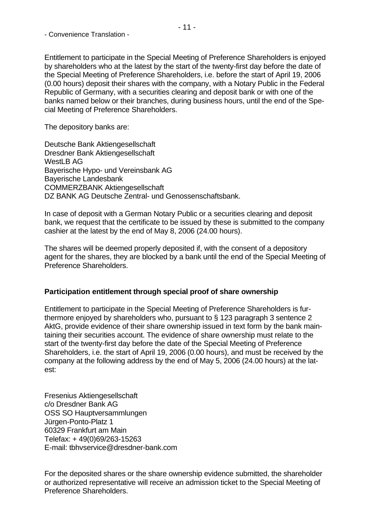Entitlement to participate in the Special Meeting of Preference Shareholders is enjoyed by shareholders who at the latest by the start of the twenty-first day before the date of the Special Meeting of Preference Shareholders, i.e. before the start of April 19, 2006 (0.00 hours) deposit their shares with the company, with a Notary Public in the Federal Republic of Germany, with a securities clearing and deposit bank or with one of the banks named below or their branches, during business hours, until the end of the Special Meeting of Preference Shareholders.

The depository banks are:

Deutsche Bank Aktiengesellschaft Dresdner Bank Aktiengesellschaft WestLB AG Bayerische Hypo- und Vereinsbank AG Bayerische Landesbank COMMERZBANK Aktiengesellschaft DZ BANK AG Deutsche Zentral- und Genossenschaftsbank.

In case of deposit with a German Notary Public or a securities clearing and deposit bank, we request that the certificate to be issued by these is submitted to the company cashier at the latest by the end of May 8, 2006 (24.00 hours).

The shares will be deemed properly deposited if, with the consent of a depository agent for the shares, they are blocked by a bank until the end of the Special Meeting of Preference Shareholders.

### **Participation entitlement through special proof of share ownership**

Entitlement to participate in the Special Meeting of Preference Shareholders is furthermore enjoyed by shareholders who, pursuant to § 123 paragraph 3 sentence 2 AktG, provide evidence of their share ownership issued in text form by the bank maintaining their securities account. The evidence of share ownership must relate to the start of the twenty-first day before the date of the Special Meeting of Preference Shareholders, i.e. the start of April 19, 2006 (0.00 hours), and must be received by the company at the following address by the end of May 5, 2006 (24.00 hours) at the latest:

Fresenius Aktiengesellschaft c/o Dresdner Bank AG OSS SO Hauptversammlungen Jürgen-Ponto-Platz 1 60329 Frankfurt am Main Telefax: + 49(0)69/263-15263 E-mail: tbhvservice@dresdner-bank.com

For the deposited shares or the share ownership evidence submitted, the shareholder or authorized representative will receive an admission ticket to the Special Meeting of Preference Shareholders.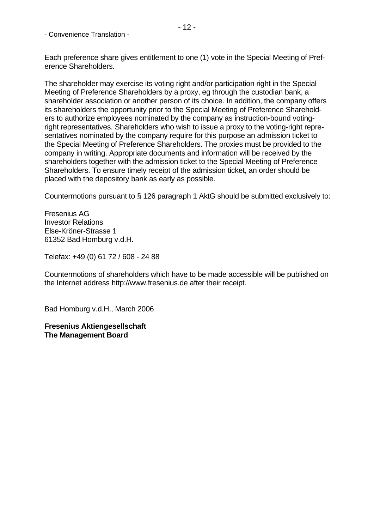Each preference share gives entitlement to one (1) vote in the Special Meeting of Preference Shareholders.

The shareholder may exercise its voting right and/or participation right in the Special Meeting of Preference Shareholders by a proxy, eg through the custodian bank, a shareholder association or another person of its choice. In addition, the company offers its shareholders the opportunity prior to the Special Meeting of Preference Shareholders to authorize employees nominated by the company as instruction-bound votingright representatives. Shareholders who wish to issue a proxy to the voting-right representatives nominated by the company require for this purpose an admission ticket to the Special Meeting of Preference Shareholders. The proxies must be provided to the company in writing. Appropriate documents and information will be received by the shareholders together with the admission ticket to the Special Meeting of Preference Shareholders. To ensure timely receipt of the admission ticket, an order should be placed with the depository bank as early as possible.

Countermotions pursuant to § 126 paragraph 1 AktG should be submitted exclusively to:

Fresenius AG Investor Relations Else-Kröner-Strasse 1 61352 Bad Homburg v.d.H.

Telefax: +49 (0) 61 72 / 608 - 24 88

Countermotions of shareholders which have to be made accessible will be published on the Internet address [http://www.fresenius.de](http://www.fresenius.de/) after their receipt.

Bad Homburg v.d.H., March 2006

**Fresenius Aktiengesellschaft The Management Board**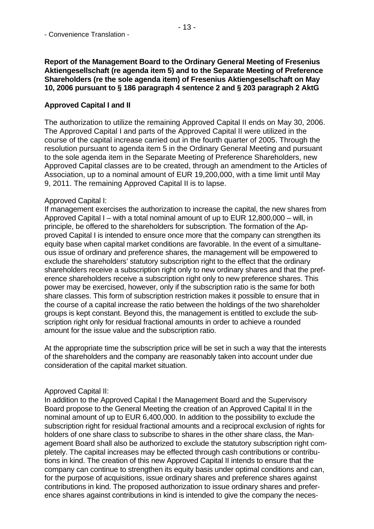### **Report of the Management Board to the Ordinary General Meeting of Fresenius Aktiengesellschaft (re agenda item 5) and to the Separate Meeting of Preference Shareholders (re the sole agenda item) of Fresenius Aktiengesellschaft on May 10, 2006 pursuant to § 186 paragraph 4 sentence 2 and § 203 paragraph 2 AktG**

# **Approved Capital I and II**

The authorization to utilize the remaining Approved Capital II ends on May 30, 2006. The Approved Capital I and parts of the Approved Capital II were utilized in the course of the capital increase carried out in the fourth quarter of 2005. Through the resolution pursuant to agenda item 5 in the Ordinary General Meeting and pursuant to the sole agenda item in the Separate Meeting of Preference Shareholders, new Approved Capital classes are to be created, through an amendment to the Articles of Association, up to a nominal amount of EUR 19,200,000, with a time limit until May 9, 2011. The remaining Approved Capital II is to lapse.

### Approved Capital I:

If management exercises the authorization to increase the capital, the new shares from Approved Capital I – with a total nominal amount of up to EUR 12,800,000 – will, in principle, be offered to the shareholders for subscription. The formation of the Approved Capital I is intended to ensure once more that the company can strengthen its equity base when capital market conditions are favorable. In the event of a simultaneous issue of ordinary and preference shares, the management will be empowered to exclude the shareholders' statutory subscription right to the effect that the ordinary shareholders receive a subscription right only to new ordinary shares and that the preference shareholders receive a subscription right only to new preference shares. This power may be exercised, however, only if the subscription ratio is the same for both share classes. This form of subscription restriction makes it possible to ensure that in the course of a capital increase the ratio between the holdings of the two shareholder groups is kept constant. Beyond this, the management is entitled to exclude the subscription right only for residual fractional amounts in order to achieve a rounded amount for the issue value and the subscription ratio.

At the appropriate time the subscription price will be set in such a way that the interests of the shareholders and the company are reasonably taken into account under due consideration of the capital market situation.

### Approved Capital II:

In addition to the Approved Capital I the Management Board and the Supervisory Board propose to the General Meeting the creation of an Approved Capital II in the nominal amount of up to EUR 6,400,000. In addition to the possibility to exclude the subscription right for residual fractional amounts and a reciprocal exclusion of rights for holders of one share class to subscribe to shares in the other share class, the Management Board shall also be authorized to exclude the statutory subscription right completely. The capital increases may be effected through cash contributions or contributions in kind. The creation of this new Approved Capital II intends to ensure that the company can continue to strengthen its equity basis under optimal conditions and can, for the purpose of acquisitions, issue ordinary shares and preference shares against contributions in kind. The proposed authorization to issue ordinary shares and preference shares against contributions in kind is intended to give the company the neces-